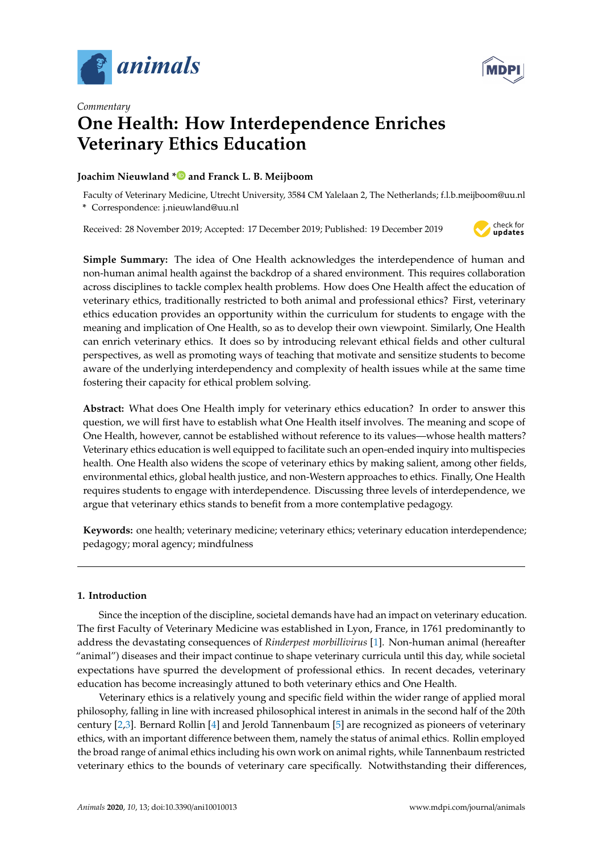



# *Commentary* **One Health: How Interdependence Enriches Veterinary Ethics Education**

# **Joachim Nieuwland [\\*](https://orcid.org/0000-0003-3282-5173) and Franck L. B. Meijboom**

Faculty of Veterinary Medicine, Utrecht University, 3584 CM Yalelaan 2, The Netherlands; f.l.b.meijboom@uu.nl **\*** Correspondence: j.nieuwland@uu.nl

Received: 28 November 2019; Accepted: 17 December 2019; Published: 19 December 2019



**Simple Summary:** The idea of One Health acknowledges the interdependence of human and non-human animal health against the backdrop of a shared environment. This requires collaboration across disciplines to tackle complex health problems. How does One Health affect the education of veterinary ethics, traditionally restricted to both animal and professional ethics? First, veterinary ethics education provides an opportunity within the curriculum for students to engage with the meaning and implication of One Health, so as to develop their own viewpoint. Similarly, One Health can enrich veterinary ethics. It does so by introducing relevant ethical fields and other cultural perspectives, as well as promoting ways of teaching that motivate and sensitize students to become aware of the underlying interdependency and complexity of health issues while at the same time fostering their capacity for ethical problem solving.

**Abstract:** What does One Health imply for veterinary ethics education? In order to answer this question, we will first have to establish what One Health itself involves. The meaning and scope of One Health, however, cannot be established without reference to its values—whose health matters? Veterinary ethics education is well equipped to facilitate such an open-ended inquiry into multispecies health. One Health also widens the scope of veterinary ethics by making salient, among other fields, environmental ethics, global health justice, and non-Western approaches to ethics. Finally, One Health requires students to engage with interdependence. Discussing three levels of interdependence, we argue that veterinary ethics stands to benefit from a more contemplative pedagogy.

**Keywords:** one health; veterinary medicine; veterinary ethics; veterinary education interdependence; pedagogy; moral agency; mindfulness

# **1. Introduction**

Since the inception of the discipline, societal demands have had an impact on veterinary education. The first Faculty of Veterinary Medicine was established in Lyon, France, in 1761 predominantly to address the devastating consequences of *Rinderpest morbillivirus* [\[1\]](#page-9-0). Non-human animal (hereafter "animal") diseases and their impact continue to shape veterinary curricula until this day, while societal expectations have spurred the development of professional ethics. In recent decades, veterinary education has become increasingly attuned to both veterinary ethics and One Health.

Veterinary ethics is a relatively young and specific field within the wider range of applied moral philosophy, falling in line with increased philosophical interest in animals in the second half of the 20th century [\[2](#page-9-1)[,3\]](#page-9-2). Bernard Rollin [\[4\]](#page-9-3) and Jerold Tannenbaum [\[5\]](#page-9-4) are recognized as pioneers of veterinary ethics, with an important difference between them, namely the status of animal ethics. Rollin employed the broad range of animal ethics including his own work on animal rights, while Tannenbaum restricted veterinary ethics to the bounds of veterinary care specifically. Notwithstanding their differences,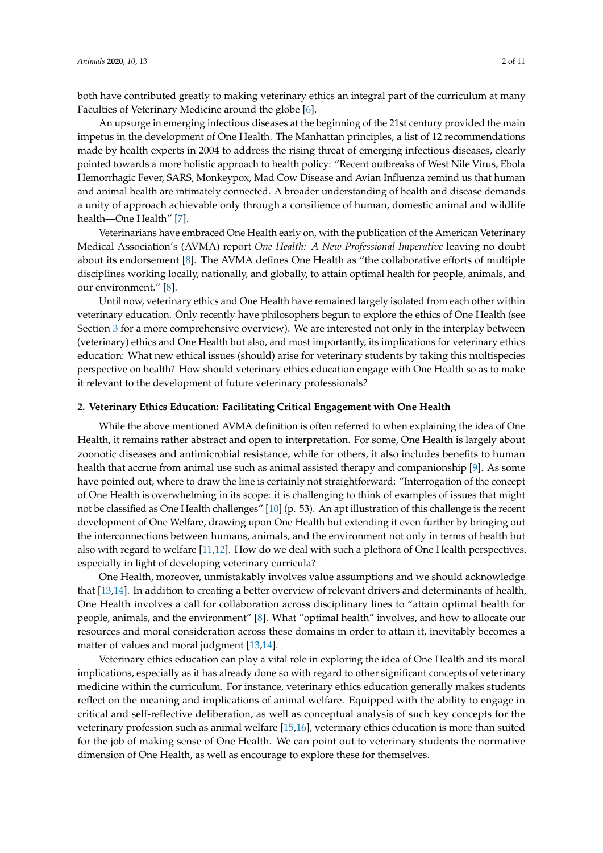both have contributed greatly to making veterinary ethics an integral part of the curriculum at many Faculties of Veterinary Medicine around the globe [\[6\]](#page-9-5).

An upsurge in emerging infectious diseases at the beginning of the 21st century provided the main impetus in the development of One Health. The Manhattan principles, a list of 12 recommendations made by health experts in 2004 to address the rising threat of emerging infectious diseases, clearly pointed towards a more holistic approach to health policy: "Recent outbreaks of West Nile Virus, Ebola Hemorrhagic Fever, SARS, Monkeypox, Mad Cow Disease and Avian Influenza remind us that human and animal health are intimately connected. A broader understanding of health and disease demands a unity of approach achievable only through a consilience of human, domestic animal and wildlife health—One Health" [\[7\]](#page-9-6).

Veterinarians have embraced One Health early on, with the publication of the American Veterinary Medical Association's (AVMA) report *One Health: A New Professional Imperative* leaving no doubt about its endorsement [\[8\]](#page-9-7). The AVMA defines One Health as "the collaborative efforts of multiple disciplines working locally, nationally, and globally, to attain optimal health for people, animals, and our environment." [\[8\]](#page-9-7).

Until now, veterinary ethics and One Health have remained largely isolated from each other within veterinary education. Only recently have philosophers begun to explore the ethics of One Health (see Section [3](#page-2-0) for a more comprehensive overview). We are interested not only in the interplay between (veterinary) ethics and One Health but also, and most importantly, its implications for veterinary ethics education: What new ethical issues (should) arise for veterinary students by taking this multispecies perspective on health? How should veterinary ethics education engage with One Health so as to make it relevant to the development of future veterinary professionals?

#### **2. Veterinary Ethics Education: Facilitating Critical Engagement with One Health**

While the above mentioned AVMA definition is often referred to when explaining the idea of One Health, it remains rather abstract and open to interpretation. For some, One Health is largely about zoonotic diseases and antimicrobial resistance, while for others, it also includes benefits to human health that accrue from animal use such as animal assisted therapy and companionship [\[9\]](#page-9-8). As some have pointed out, where to draw the line is certainly not straightforward: "Interrogation of the concept of One Health is overwhelming in its scope: it is challenging to think of examples of issues that might not be classified as One Health challenges" [\[10\]](#page-9-9) (p. 53). An apt illustration of this challenge is the recent development of One Welfare, drawing upon One Health but extending it even further by bringing out the interconnections between humans, animals, and the environment not only in terms of health but also with regard to welfare [\[11](#page-9-10)[,12\]](#page-9-11). How do we deal with such a plethora of One Health perspectives, especially in light of developing veterinary curricula?

One Health, moreover, unmistakably involves value assumptions and we should acknowledge that [\[13,](#page-9-12)[14\]](#page-9-13). In addition to creating a better overview of relevant drivers and determinants of health, One Health involves a call for collaboration across disciplinary lines to "attain optimal health for people, animals, and the environment" [\[8\]](#page-9-7). What "optimal health" involves, and how to allocate our resources and moral consideration across these domains in order to attain it, inevitably becomes a matter of values and moral judgment [\[13,](#page-9-12)[14\]](#page-9-13).

Veterinary ethics education can play a vital role in exploring the idea of One Health and its moral implications, especially as it has already done so with regard to other significant concepts of veterinary medicine within the curriculum. For instance, veterinary ethics education generally makes students reflect on the meaning and implications of animal welfare. Equipped with the ability to engage in critical and self-reflective deliberation, as well as conceptual analysis of such key concepts for the veterinary profession such as animal welfare [\[15,](#page-9-14)[16\]](#page-9-15), veterinary ethics education is more than suited for the job of making sense of One Health. We can point out to veterinary students the normative dimension of One Health, as well as encourage to explore these for themselves.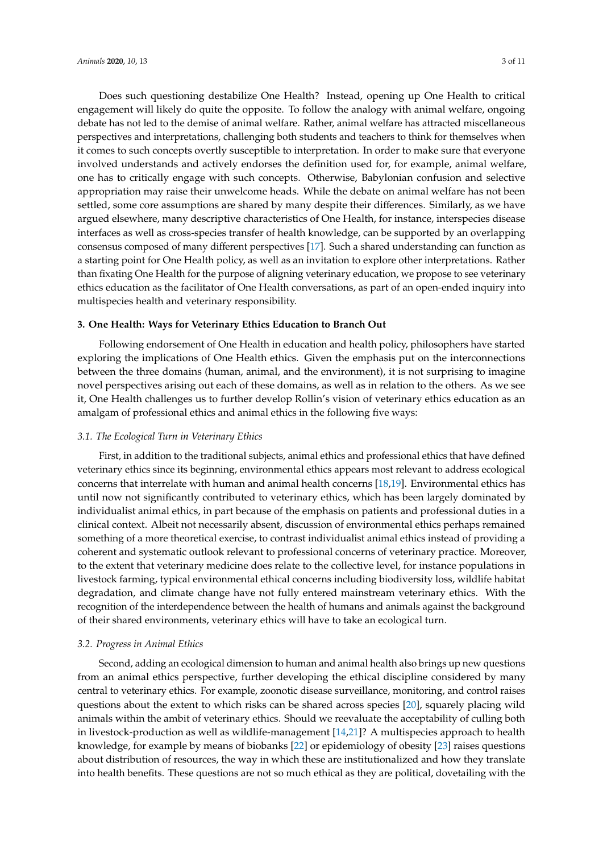Does such questioning destabilize One Health? Instead, opening up One Health to critical engagement will likely do quite the opposite. To follow the analogy with animal welfare, ongoing debate has not led to the demise of animal welfare. Rather, animal welfare has attracted miscellaneous perspectives and interpretations, challenging both students and teachers to think for themselves when it comes to such concepts overtly susceptible to interpretation. In order to make sure that everyone involved understands and actively endorses the definition used for, for example, animal welfare, one has to critically engage with such concepts. Otherwise, Babylonian confusion and selective appropriation may raise their unwelcome heads. While the debate on animal welfare has not been settled, some core assumptions are shared by many despite their differences. Similarly, as we have argued elsewhere, many descriptive characteristics of One Health, for instance, interspecies disease interfaces as well as cross-species transfer of health knowledge, can be supported by an overlapping consensus composed of many different perspectives [\[17\]](#page-9-16). Such a shared understanding can function as a starting point for One Health policy, as well as an invitation to explore other interpretations. Rather than fixating One Health for the purpose of aligning veterinary education, we propose to see veterinary ethics education as the facilitator of One Health conversations, as part of an open-ended inquiry into multispecies health and veterinary responsibility.

#### <span id="page-2-0"></span>**3. One Health: Ways for Veterinary Ethics Education to Branch Out**

Following endorsement of One Health in education and health policy, philosophers have started exploring the implications of One Health ethics. Given the emphasis put on the interconnections between the three domains (human, animal, and the environment), it is not surprising to imagine novel perspectives arising out each of these domains, as well as in relation to the others. As we see it, One Health challenges us to further develop Rollin's vision of veterinary ethics education as an amalgam of professional ethics and animal ethics in the following five ways:

#### *3.1. The Ecological Turn in Veterinary Ethics*

First, in addition to the traditional subjects, animal ethics and professional ethics that have defined veterinary ethics since its beginning, environmental ethics appears most relevant to address ecological concerns that interrelate with human and animal health concerns [\[18,](#page-9-17)[19\]](#page-9-18). Environmental ethics has until now not significantly contributed to veterinary ethics, which has been largely dominated by individualist animal ethics, in part because of the emphasis on patients and professional duties in a clinical context. Albeit not necessarily absent, discussion of environmental ethics perhaps remained something of a more theoretical exercise, to contrast individualist animal ethics instead of providing a coherent and systematic outlook relevant to professional concerns of veterinary practice. Moreover, to the extent that veterinary medicine does relate to the collective level, for instance populations in livestock farming, typical environmental ethical concerns including biodiversity loss, wildlife habitat degradation, and climate change have not fully entered mainstream veterinary ethics. With the recognition of the interdependence between the health of humans and animals against the background of their shared environments, veterinary ethics will have to take an ecological turn.

## *3.2. Progress in Animal Ethics*

Second, adding an ecological dimension to human and animal health also brings up new questions from an animal ethics perspective, further developing the ethical discipline considered by many central to veterinary ethics. For example, zoonotic disease surveillance, monitoring, and control raises questions about the extent to which risks can be shared across species [\[20\]](#page-9-19), squarely placing wild animals within the ambit of veterinary ethics. Should we reevaluate the acceptability of culling both in livestock-production as well as wildlife-management [\[14,](#page-9-13)[21\]](#page-9-20)? A multispecies approach to health knowledge, for example by means of biobanks [\[22\]](#page-9-21) or epidemiology of obesity [\[23\]](#page-10-0) raises questions about distribution of resources, the way in which these are institutionalized and how they translate into health benefits. These questions are not so much ethical as they are political, dovetailing with the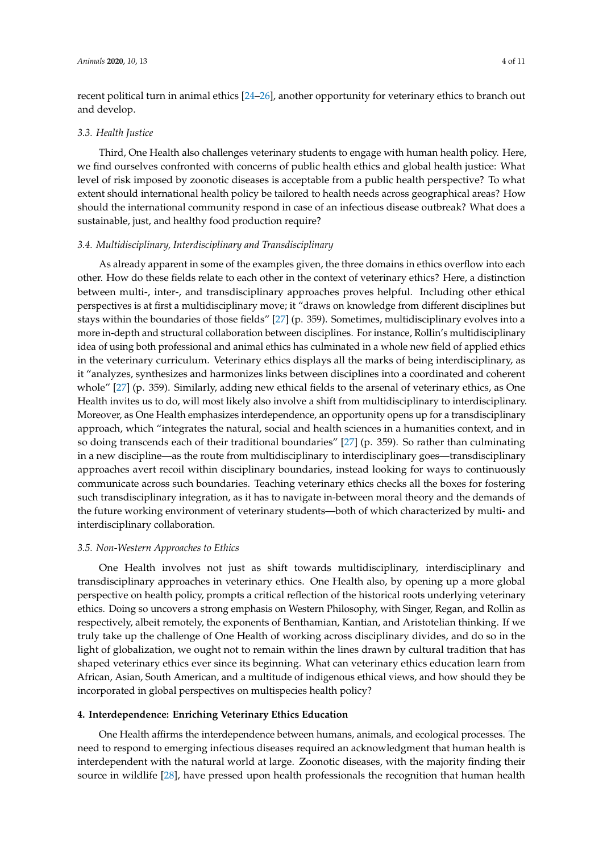recent political turn in animal ethics [\[24–](#page-10-1)[26\]](#page-10-2), another opportunity for veterinary ethics to branch out and develop.

#### *3.3. Health Justice*

Third, One Health also challenges veterinary students to engage with human health policy. Here, we find ourselves confronted with concerns of public health ethics and global health justice: What level of risk imposed by zoonotic diseases is acceptable from a public health perspective? To what extent should international health policy be tailored to health needs across geographical areas? How should the international community respond in case of an infectious disease outbreak? What does a sustainable, just, and healthy food production require?

#### *3.4. Multidisciplinary, Interdisciplinary and Transdisciplinary*

As already apparent in some of the examples given, the three domains in ethics overflow into each other. How do these fields relate to each other in the context of veterinary ethics? Here, a distinction between multi-, inter-, and transdisciplinary approaches proves helpful. Including other ethical perspectives is at first a multidisciplinary move; it "draws on knowledge from different disciplines but stays within the boundaries of those fields" [\[27\]](#page-10-3) (p. 359). Sometimes, multidisciplinary evolves into a more in-depth and structural collaboration between disciplines. For instance, Rollin's multidisciplinary idea of using both professional and animal ethics has culminated in a whole new field of applied ethics in the veterinary curriculum. Veterinary ethics displays all the marks of being interdisciplinary, as it "analyzes, synthesizes and harmonizes links between disciplines into a coordinated and coherent whole" [\[27\]](#page-10-3) (p. 359). Similarly, adding new ethical fields to the arsenal of veterinary ethics, as One Health invites us to do, will most likely also involve a shift from multidisciplinary to interdisciplinary. Moreover, as One Health emphasizes interdependence, an opportunity opens up for a transdisciplinary approach, which "integrates the natural, social and health sciences in a humanities context, and in so doing transcends each of their traditional boundaries" [\[27\]](#page-10-3) (p. 359). So rather than culminating in a new discipline—as the route from multidisciplinary to interdisciplinary goes—transdisciplinary approaches avert recoil within disciplinary boundaries, instead looking for ways to continuously communicate across such boundaries. Teaching veterinary ethics checks all the boxes for fostering such transdisciplinary integration, as it has to navigate in-between moral theory and the demands of the future working environment of veterinary students—both of which characterized by multi- and interdisciplinary collaboration.

## *3.5. Non-Western Approaches to Ethics*

One Health involves not just as shift towards multidisciplinary, interdisciplinary and transdisciplinary approaches in veterinary ethics. One Health also, by opening up a more global perspective on health policy, prompts a critical reflection of the historical roots underlying veterinary ethics. Doing so uncovers a strong emphasis on Western Philosophy, with Singer, Regan, and Rollin as respectively, albeit remotely, the exponents of Benthamian, Kantian, and Aristotelian thinking. If we truly take up the challenge of One Health of working across disciplinary divides, and do so in the light of globalization, we ought not to remain within the lines drawn by cultural tradition that has shaped veterinary ethics ever since its beginning. What can veterinary ethics education learn from African, Asian, South American, and a multitude of indigenous ethical views, and how should they be incorporated in global perspectives on multispecies health policy?

#### **4. Interdependence: Enriching Veterinary Ethics Education**

One Health affirms the interdependence between humans, animals, and ecological processes. The need to respond to emerging infectious diseases required an acknowledgment that human health is interdependent with the natural world at large. Zoonotic diseases, with the majority finding their source in wildlife [\[28\]](#page-10-4), have pressed upon health professionals the recognition that human health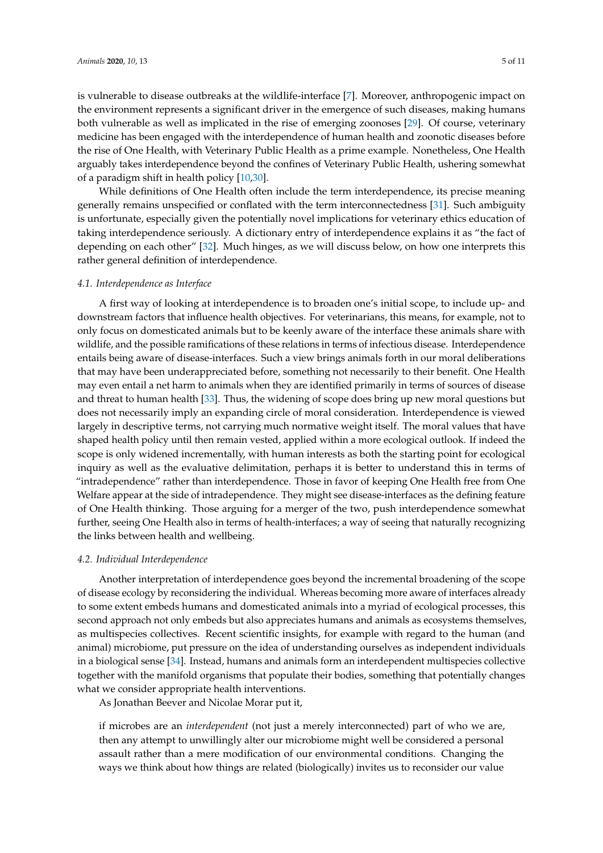is vulnerable to disease outbreaks at the wildlife-interface [\[7\]](#page-9-6). Moreover, anthropogenic impact on the environment represents a significant driver in the emergence of such diseases, making humans both vulnerable as well as implicated in the rise of emerging zoonoses [\[29\]](#page-10-5). Of course, veterinary medicine has been engaged with the interdependence of human health and zoonotic diseases before the rise of One Health, with Veterinary Public Health as a prime example. Nonetheless, One Health arguably takes interdependence beyond the confines of Veterinary Public Health, ushering somewhat of a paradigm shift in health policy [\[10,](#page-9-9)[30\]](#page-10-6).

While definitions of One Health often include the term interdependence, its precise meaning generally remains unspecified or conflated with the term interconnectedness [\[31\]](#page-10-7). Such ambiguity is unfortunate, especially given the potentially novel implications for veterinary ethics education of taking interdependence seriously. A dictionary entry of interdependence explains it as "the fact of depending on each other" [\[32\]](#page-10-8). Much hinges, as we will discuss below, on how one interprets this rather general definition of interdependence.

## *4.1. Interdependence as Interface*

A first way of looking at interdependence is to broaden one's initial scope, to include up- and downstream factors that influence health objectives. For veterinarians, this means, for example, not to only focus on domesticated animals but to be keenly aware of the interface these animals share with wildlife, and the possible ramifications of these relations in terms of infectious disease. Interdependence entails being aware of disease-interfaces. Such a view brings animals forth in our moral deliberations that may have been underappreciated before, something not necessarily to their benefit. One Health may even entail a net harm to animals when they are identified primarily in terms of sources of disease and threat to human health [\[33\]](#page-10-9). Thus, the widening of scope does bring up new moral questions but does not necessarily imply an expanding circle of moral consideration. Interdependence is viewed largely in descriptive terms, not carrying much normative weight itself. The moral values that have shaped health policy until then remain vested, applied within a more ecological outlook. If indeed the scope is only widened incrementally, with human interests as both the starting point for ecological inquiry as well as the evaluative delimitation, perhaps it is better to understand this in terms of "intradependence" rather than interdependence. Those in favor of keeping One Health free from One Welfare appear at the side of intradependence. They might see disease-interfaces as the defining feature of One Health thinking. Those arguing for a merger of the two, push interdependence somewhat further, seeing One Health also in terms of health-interfaces; a way of seeing that naturally recognizing the links between health and wellbeing.

#### *4.2. Individual Interdependence*

Another interpretation of interdependence goes beyond the incremental broadening of the scope of disease ecology by reconsidering the individual. Whereas becoming more aware of interfaces already to some extent embeds humans and domesticated animals into a myriad of ecological processes, this second approach not only embeds but also appreciates humans and animals as ecosystems themselves, as multispecies collectives. Recent scientific insights, for example with regard to the human (and animal) microbiome, put pressure on the idea of understanding ourselves as independent individuals in a biological sense [\[34\]](#page-10-10). Instead, humans and animals form an interdependent multispecies collective together with the manifold organisms that populate their bodies, something that potentially changes what we consider appropriate health interventions.

As Jonathan Beever and Nicolae Morar put it,

if microbes are an *interdependent* (not just a merely interconnected) part of who we are, then any attempt to unwillingly alter our microbiome might well be considered a personal assault rather than a mere modification of our environmental conditions. Changing the ways we think about how things are related (biologically) invites us to reconsider our value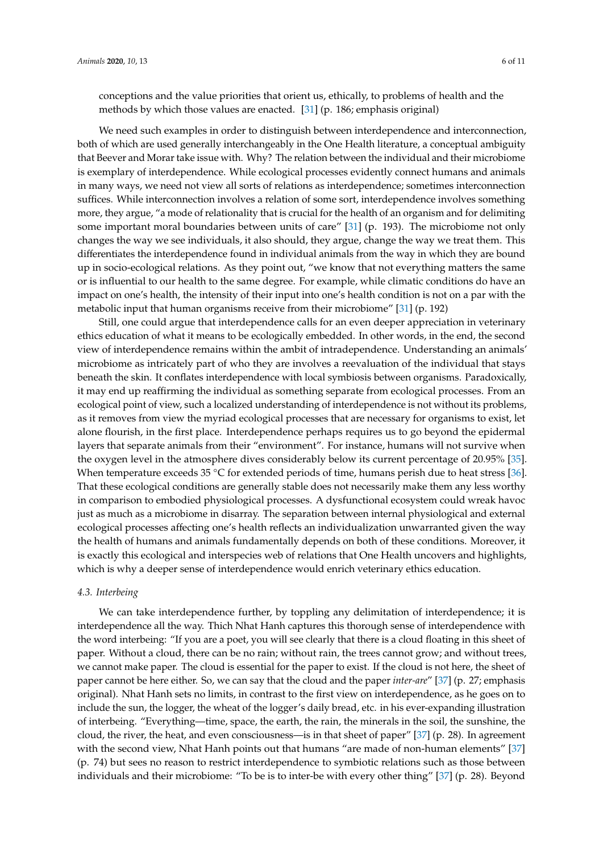conceptions and the value priorities that orient us, ethically, to problems of health and the methods by which those values are enacted. [\[31\]](#page-10-7) (p. 186; emphasis original)

We need such examples in order to distinguish between interdependence and interconnection, both of which are used generally interchangeably in the One Health literature, a conceptual ambiguity that Beever and Morar take issue with. Why? The relation between the individual and their microbiome is exemplary of interdependence. While ecological processes evidently connect humans and animals in many ways, we need not view all sorts of relations as interdependence; sometimes interconnection suffices. While interconnection involves a relation of some sort, interdependence involves something more, they argue, "a mode of relationality that is crucial for the health of an organism and for delimiting some important moral boundaries between units of care" [\[31\]](#page-10-7) (p. 193). The microbiome not only changes the way we see individuals, it also should, they argue, change the way we treat them. This differentiates the interdependence found in individual animals from the way in which they are bound up in socio-ecological relations. As they point out, "we know that not everything matters the same or is influential to our health to the same degree. For example, while climatic conditions do have an impact on one's health, the intensity of their input into one's health condition is not on a par with the metabolic input that human organisms receive from their microbiome" [\[31\]](#page-10-7) (p. 192)

Still, one could argue that interdependence calls for an even deeper appreciation in veterinary ethics education of what it means to be ecologically embedded. In other words, in the end, the second view of interdependence remains within the ambit of intradependence. Understanding an animals' microbiome as intricately part of who they are involves a reevaluation of the individual that stays beneath the skin. It conflates interdependence with local symbiosis between organisms. Paradoxically, it may end up reaffirming the individual as something separate from ecological processes. From an ecological point of view, such a localized understanding of interdependence is not without its problems, as it removes from view the myriad ecological processes that are necessary for organisms to exist, let alone flourish, in the first place. Interdependence perhaps requires us to go beyond the epidermal layers that separate animals from their "environment". For instance, humans will not survive when the oxygen level in the atmosphere dives considerably below its current percentage of 20.95% [\[35\]](#page-10-11). When temperature exceeds 35 °C for extended periods of time, humans perish due to heat stress [\[36\]](#page-10-12). That these ecological conditions are generally stable does not necessarily make them any less worthy in comparison to embodied physiological processes. A dysfunctional ecosystem could wreak havoc just as much as a microbiome in disarray. The separation between internal physiological and external ecological processes affecting one's health reflects an individualization unwarranted given the way the health of humans and animals fundamentally depends on both of these conditions. Moreover, it is exactly this ecological and interspecies web of relations that One Health uncovers and highlights, which is why a deeper sense of interdependence would enrich veterinary ethics education.

## *4.3. Interbeing*

We can take interdependence further, by toppling any delimitation of interdependence; it is interdependence all the way. Thich Nhat Hanh captures this thorough sense of interdependence with the word interbeing: "If you are a poet, you will see clearly that there is a cloud floating in this sheet of paper. Without a cloud, there can be no rain; without rain, the trees cannot grow; and without trees, we cannot make paper. The cloud is essential for the paper to exist. If the cloud is not here, the sheet of paper cannot be here either. So, we can say that the cloud and the paper *inter-are*" [\[37\]](#page-10-13) (p. 27; emphasis original). Nhat Hanh sets no limits, in contrast to the first view on interdependence, as he goes on to include the sun, the logger, the wheat of the logger's daily bread, etc. in his ever-expanding illustration of interbeing. "Everything—time, space, the earth, the rain, the minerals in the soil, the sunshine, the cloud, the river, the heat, and even consciousness—is in that sheet of paper" [\[37\]](#page-10-13) (p. 28). In agreement with the second view, Nhat Hanh points out that humans "are made of non-human elements" [\[37\]](#page-10-13) (p. 74) but sees no reason to restrict interdependence to symbiotic relations such as those between individuals and their microbiome: "To be is to inter-be with every other thing" [\[37\]](#page-10-13) (p. 28). Beyond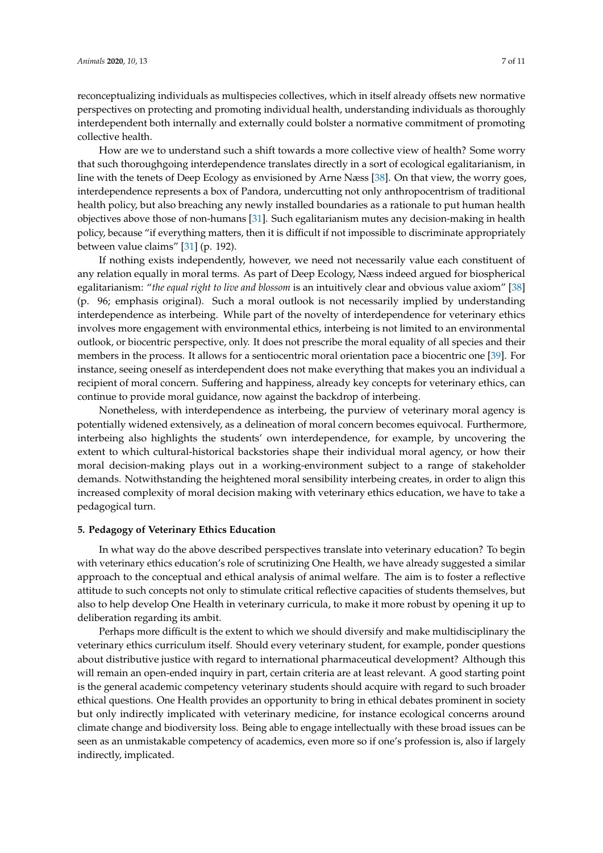reconceptualizing individuals as multispecies collectives, which in itself already offsets new normative perspectives on protecting and promoting individual health, understanding individuals as thoroughly interdependent both internally and externally could bolster a normative commitment of promoting collective health.

How are we to understand such a shift towards a more collective view of health? Some worry that such thoroughgoing interdependence translates directly in a sort of ecological egalitarianism, in line with the tenets of Deep Ecology as envisioned by Arne Næss [\[38\]](#page-10-14). On that view, the worry goes, interdependence represents a box of Pandora, undercutting not only anthropocentrism of traditional health policy, but also breaching any newly installed boundaries as a rationale to put human health objectives above those of non-humans [\[31\]](#page-10-7). Such egalitarianism mutes any decision-making in health policy, because "if everything matters, then it is difficult if not impossible to discriminate appropriately between value claims" [\[31\]](#page-10-7) (p. 192).

If nothing exists independently, however, we need not necessarily value each constituent of any relation equally in moral terms. As part of Deep Ecology, Næss indeed argued for biospherical egalitarianism: "*the equal right to live and blossom* is an intuitively clear and obvious value axiom" [\[38\]](#page-10-14) (p. 96; emphasis original). Such a moral outlook is not necessarily implied by understanding interdependence as interbeing. While part of the novelty of interdependence for veterinary ethics involves more engagement with environmental ethics, interbeing is not limited to an environmental outlook, or biocentric perspective, only. It does not prescribe the moral equality of all species and their members in the process. It allows for a sentiocentric moral orientation pace a biocentric one [\[39\]](#page-10-15). For instance, seeing oneself as interdependent does not make everything that makes you an individual a recipient of moral concern. Suffering and happiness, already key concepts for veterinary ethics, can continue to provide moral guidance, now against the backdrop of interbeing.

Nonetheless, with interdependence as interbeing, the purview of veterinary moral agency is potentially widened extensively, as a delineation of moral concern becomes equivocal. Furthermore, interbeing also highlights the students' own interdependence, for example, by uncovering the extent to which cultural-historical backstories shape their individual moral agency, or how their moral decision-making plays out in a working-environment subject to a range of stakeholder demands. Notwithstanding the heightened moral sensibility interbeing creates, in order to align this increased complexity of moral decision making with veterinary ethics education, we have to take a pedagogical turn.

# **5. Pedagogy of Veterinary Ethics Education**

In what way do the above described perspectives translate into veterinary education? To begin with veterinary ethics education's role of scrutinizing One Health, we have already suggested a similar approach to the conceptual and ethical analysis of animal welfare. The aim is to foster a reflective attitude to such concepts not only to stimulate critical reflective capacities of students themselves, but also to help develop One Health in veterinary curricula, to make it more robust by opening it up to deliberation regarding its ambit.

Perhaps more difficult is the extent to which we should diversify and make multidisciplinary the veterinary ethics curriculum itself. Should every veterinary student, for example, ponder questions about distributive justice with regard to international pharmaceutical development? Although this will remain an open-ended inquiry in part, certain criteria are at least relevant. A good starting point is the general academic competency veterinary students should acquire with regard to such broader ethical questions. One Health provides an opportunity to bring in ethical debates prominent in society but only indirectly implicated with veterinary medicine, for instance ecological concerns around climate change and biodiversity loss. Being able to engage intellectually with these broad issues can be seen as an unmistakable competency of academics, even more so if one's profession is, also if largely indirectly, implicated.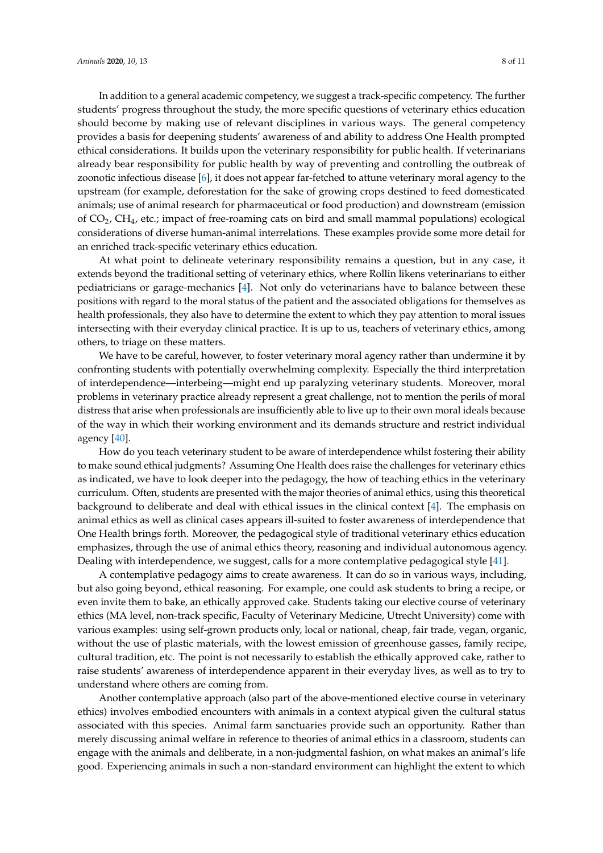In addition to a general academic competency, we suggest a track-specific competency. The further students' progress throughout the study, the more specific questions of veterinary ethics education should become by making use of relevant disciplines in various ways. The general competency provides a basis for deepening students' awareness of and ability to address One Health prompted ethical considerations. It builds upon the veterinary responsibility for public health. If veterinarians already bear responsibility for public health by way of preventing and controlling the outbreak of zoonotic infectious disease [\[6\]](#page-9-5), it does not appear far-fetched to attune veterinary moral agency to the upstream (for example, deforestation for the sake of growing crops destined to feed domesticated animals; use of animal research for pharmaceutical or food production) and downstream (emission of CO2, CH4, etc.; impact of free-roaming cats on bird and small mammal populations) ecological considerations of diverse human-animal interrelations. These examples provide some more detail for an enriched track-specific veterinary ethics education.

At what point to delineate veterinary responsibility remains a question, but in any case, it extends beyond the traditional setting of veterinary ethics, where Rollin likens veterinarians to either pediatricians or garage-mechanics [\[4\]](#page-9-3). Not only do veterinarians have to balance between these positions with regard to the moral status of the patient and the associated obligations for themselves as health professionals, they also have to determine the extent to which they pay attention to moral issues intersecting with their everyday clinical practice. It is up to us, teachers of veterinary ethics, among others, to triage on these matters.

We have to be careful, however, to foster veterinary moral agency rather than undermine it by confronting students with potentially overwhelming complexity. Especially the third interpretation of interdependence—interbeing—might end up paralyzing veterinary students. Moreover, moral problems in veterinary practice already represent a great challenge, not to mention the perils of moral distress that arise when professionals are insufficiently able to live up to their own moral ideals because of the way in which their working environment and its demands structure and restrict individual agency [\[40\]](#page-10-16).

How do you teach veterinary student to be aware of interdependence whilst fostering their ability to make sound ethical judgments? Assuming One Health does raise the challenges for veterinary ethics as indicated, we have to look deeper into the pedagogy, the how of teaching ethics in the veterinary curriculum. Often, students are presented with the major theories of animal ethics, using this theoretical background to deliberate and deal with ethical issues in the clinical context [\[4\]](#page-9-3). The emphasis on animal ethics as well as clinical cases appears ill-suited to foster awareness of interdependence that One Health brings forth. Moreover, the pedagogical style of traditional veterinary ethics education emphasizes, through the use of animal ethics theory, reasoning and individual autonomous agency. Dealing with interdependence, we suggest, calls for a more contemplative pedagogical style [\[41\]](#page-10-17).

A contemplative pedagogy aims to create awareness. It can do so in various ways, including, but also going beyond, ethical reasoning. For example, one could ask students to bring a recipe, or even invite them to bake, an ethically approved cake. Students taking our elective course of veterinary ethics (MA level, non-track specific, Faculty of Veterinary Medicine, Utrecht University) come with various examples: using self-grown products only, local or national, cheap, fair trade, vegan, organic, without the use of plastic materials, with the lowest emission of greenhouse gasses, family recipe, cultural tradition, etc. The point is not necessarily to establish the ethically approved cake, rather to raise students' awareness of interdependence apparent in their everyday lives, as well as to try to understand where others are coming from.

Another contemplative approach (also part of the above-mentioned elective course in veterinary ethics) involves embodied encounters with animals in a context atypical given the cultural status associated with this species. Animal farm sanctuaries provide such an opportunity. Rather than merely discussing animal welfare in reference to theories of animal ethics in a classroom, students can engage with the animals and deliberate, in a non-judgmental fashion, on what makes an animal's life good. Experiencing animals in such a non-standard environment can highlight the extent to which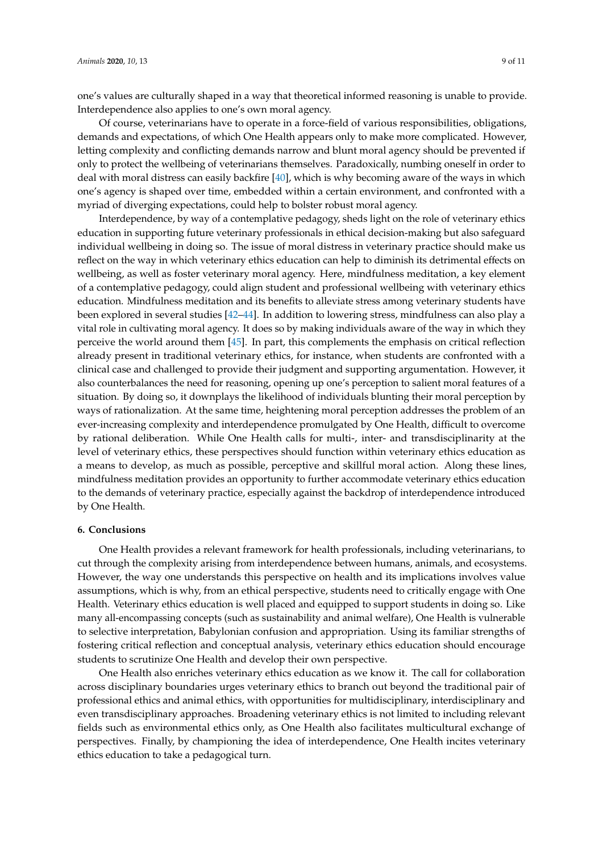one's values are culturally shaped in a way that theoretical informed reasoning is unable to provide. Interdependence also applies to one's own moral agency.

Of course, veterinarians have to operate in a force-field of various responsibilities, obligations, demands and expectations, of which One Health appears only to make more complicated. However, letting complexity and conflicting demands narrow and blunt moral agency should be prevented if only to protect the wellbeing of veterinarians themselves. Paradoxically, numbing oneself in order to deal with moral distress can easily backfire [\[40\]](#page-10-16), which is why becoming aware of the ways in which one's agency is shaped over time, embedded within a certain environment, and confronted with a myriad of diverging expectations, could help to bolster robust moral agency.

Interdependence, by way of a contemplative pedagogy, sheds light on the role of veterinary ethics education in supporting future veterinary professionals in ethical decision-making but also safeguard individual wellbeing in doing so. The issue of moral distress in veterinary practice should make us reflect on the way in which veterinary ethics education can help to diminish its detrimental effects on wellbeing, as well as foster veterinary moral agency. Here, mindfulness meditation, a key element of a contemplative pedagogy, could align student and professional wellbeing with veterinary ethics education. Mindfulness meditation and its benefits to alleviate stress among veterinary students have been explored in several studies [\[42](#page-10-18)[–44\]](#page-10-19). In addition to lowering stress, mindfulness can also play a vital role in cultivating moral agency. It does so by making individuals aware of the way in which they perceive the world around them [\[45\]](#page-10-20). In part, this complements the emphasis on critical reflection already present in traditional veterinary ethics, for instance, when students are confronted with a clinical case and challenged to provide their judgment and supporting argumentation. However, it also counterbalances the need for reasoning, opening up one's perception to salient moral features of a situation. By doing so, it downplays the likelihood of individuals blunting their moral perception by ways of rationalization. At the same time, heightening moral perception addresses the problem of an ever-increasing complexity and interdependence promulgated by One Health, difficult to overcome by rational deliberation. While One Health calls for multi-, inter- and transdisciplinarity at the level of veterinary ethics, these perspectives should function within veterinary ethics education as a means to develop, as much as possible, perceptive and skillful moral action. Along these lines, mindfulness meditation provides an opportunity to further accommodate veterinary ethics education to the demands of veterinary practice, especially against the backdrop of interdependence introduced by One Health.

#### **6. Conclusions**

One Health provides a relevant framework for health professionals, including veterinarians, to cut through the complexity arising from interdependence between humans, animals, and ecosystems. However, the way one understands this perspective on health and its implications involves value assumptions, which is why, from an ethical perspective, students need to critically engage with One Health. Veterinary ethics education is well placed and equipped to support students in doing so. Like many all-encompassing concepts (such as sustainability and animal welfare), One Health is vulnerable to selective interpretation, Babylonian confusion and appropriation. Using its familiar strengths of fostering critical reflection and conceptual analysis, veterinary ethics education should encourage students to scrutinize One Health and develop their own perspective.

One Health also enriches veterinary ethics education as we know it. The call for collaboration across disciplinary boundaries urges veterinary ethics to branch out beyond the traditional pair of professional ethics and animal ethics, with opportunities for multidisciplinary, interdisciplinary and even transdisciplinary approaches. Broadening veterinary ethics is not limited to including relevant fields such as environmental ethics only, as One Health also facilitates multicultural exchange of perspectives. Finally, by championing the idea of interdependence, One Health incites veterinary ethics education to take a pedagogical turn.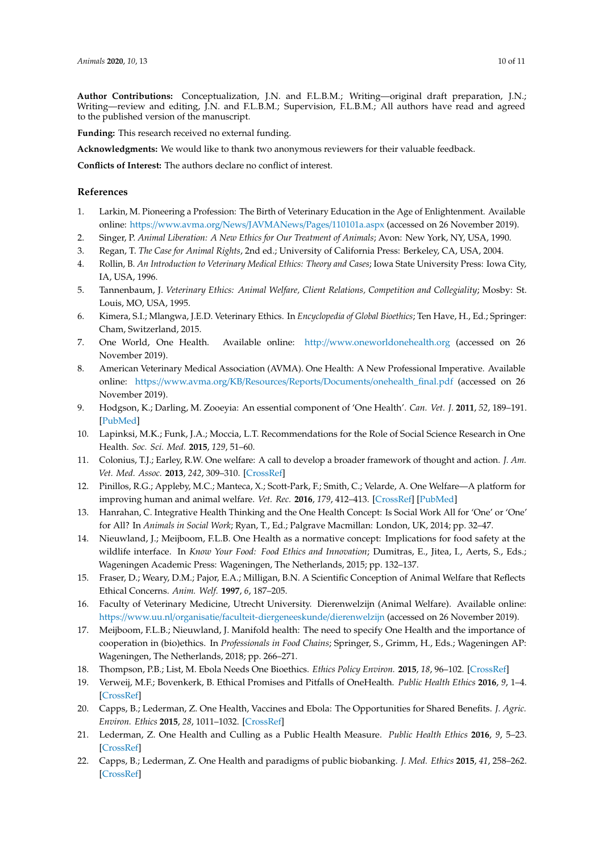**Author Contributions:** Conceptualization, J.N. and F.L.B.M.; Writing—original draft preparation, J.N.; Writing—review and editing, J.N. and F.L.B.M.; Supervision, F.L.B.M.; All authors have read and agreed to the published version of the manuscript.

**Funding:** This research received no external funding.

**Acknowledgments:** We would like to thank two anonymous reviewers for their valuable feedback.

**Conflicts of Interest:** The authors declare no conflict of interest.

# **References**

- <span id="page-9-0"></span>1. Larkin, M. Pioneering a Profession: The Birth of Veterinary Education in the Age of Enlightenment. Available online: https://[www.avma.org](https://www.avma.org/News/JAVMANews/Pages/110101a.aspx)/News/JAVMANews/Pages/110101a.aspx (accessed on 26 November 2019).
- <span id="page-9-1"></span>2. Singer, P. *Animal Liberation: A New Ethics for Our Treatment of Animals*; Avon: New York, NY, USA, 1990.
- <span id="page-9-2"></span>3. Regan, T. *The Case for Animal Rights*, 2nd ed.; University of California Press: Berkeley, CA, USA, 2004.
- <span id="page-9-3"></span>4. Rollin, B. *An Introduction to Veterinary Medical Ethics: Theory and Cases*; Iowa State University Press: Iowa City, IA, USA, 1996.
- <span id="page-9-4"></span>5. Tannenbaum, J. *Veterinary Ethics: Animal Welfare, Client Relations, Competition and Collegiality*; Mosby: St. Louis, MO, USA, 1995.
- <span id="page-9-5"></span>6. Kimera, S.I.; Mlangwa, J.E.D. Veterinary Ethics. In *Encyclopedia of Global Bioethics*; Ten Have, H., Ed.; Springer: Cham, Switzerland, 2015.
- <span id="page-9-6"></span>7. One World, One Health. Available online: http://[www.oneworldonehealth.org](http://www.oneworldonehealth.org) (accessed on 26 November 2019).
- <span id="page-9-7"></span>8. American Veterinary Medical Association (AVMA). One Health: A New Professional Imperative. Available online: https://www.avma.org/KB/Resources/Reports/Documents/[onehealth\\_final.pdf](https://www.avma.org/KB/Resources/Reports/Documents/onehealth_final.pdf) (accessed on 26 November 2019).
- <span id="page-9-8"></span>9. Hodgson, K.; Darling, M. Zooeyia: An essential component of 'One Health'. *Can. Vet. J.* **2011**, *52*, 189–191. [\[PubMed\]](http://www.ncbi.nlm.nih.gov/pubmed/21532829)
- <span id="page-9-9"></span>10. Lapinksi, M.K.; Funk, J.A.; Moccia, L.T. Recommendations for the Role of Social Science Research in One Health. *Soc. Sci. Med.* **2015**, *129*, 51–60.
- <span id="page-9-10"></span>11. Colonius, T.J.; Earley, R.W. One welfare: A call to develop a broader framework of thought and action. *J. Am. Vet. Med. Assoc.* **2013**, *242*, 309–310. [\[CrossRef\]](http://dx.doi.org/10.2460/javma.242.3.309)
- <span id="page-9-11"></span>12. Pinillos, R.G.; Appleby, M.C.; Manteca, X.; Scott-Park, F.; Smith, C.; Velarde, A. One Welfare—A platform for improving human and animal welfare. *Vet. Rec.* **2016**, *179*, 412–413. [\[CrossRef\]](http://dx.doi.org/10.1136/vr.i5470) [\[PubMed\]](http://www.ncbi.nlm.nih.gov/pubmed/27770094)
- <span id="page-9-12"></span>13. Hanrahan, C. Integrative Health Thinking and the One Health Concept: Is Social Work All for 'One' or 'One' for All? In *Animals in Social Work*; Ryan, T., Ed.; Palgrave Macmillan: London, UK, 2014; pp. 32–47.
- <span id="page-9-13"></span>14. Nieuwland, J.; Meijboom, F.L.B. One Health as a normative concept: Implications for food safety at the wildlife interface. In *Know Your Food: Food Ethics and Innovation*; Dumitras, E., Jitea, I., Aerts, S., Eds.; Wageningen Academic Press: Wageningen, The Netherlands, 2015; pp. 132–137.
- <span id="page-9-14"></span>15. Fraser, D.; Weary, D.M.; Pajor, E.A.; Milligan, B.N. A Scientific Conception of Animal Welfare that Reflects Ethical Concerns. *Anim. Welf.* **1997**, *6*, 187–205.
- <span id="page-9-15"></span>16. Faculty of Veterinary Medicine, Utrecht University. Dierenwelzijn (Animal Welfare). Available online: https://www.uu.nl/organisatie/[faculteit-diergeneeskunde](https://www.uu.nl/organisatie/faculteit-diergeneeskunde/dierenwelzijn)/dierenwelzijn (accessed on 26 November 2019).
- <span id="page-9-16"></span>17. Meijboom, F.L.B.; Nieuwland, J. Manifold health: The need to specify One Health and the importance of cooperation in (bio)ethics. In *Professionals in Food Chains*; Springer, S., Grimm, H., Eds.; Wageningen AP: Wageningen, The Netherlands, 2018; pp. 266–271.
- <span id="page-9-17"></span>18. Thompson, P.B.; List, M. Ebola Needs One Bioethics. *Ethics Policy Environ.* **2015**, *18*, 96–102. [\[CrossRef\]](http://dx.doi.org/10.1080/21550085.2015.1016957)
- <span id="page-9-18"></span>19. Verweij, M.F.; Bovenkerk, B. Ethical Promises and Pitfalls of OneHealth. *Public Health Ethics* **2016**, *9*, 1–4. [\[CrossRef\]](http://dx.doi.org/10.1093/phe/phw003)
- <span id="page-9-19"></span>20. Capps, B.; Lederman, Z. One Health, Vaccines and Ebola: The Opportunities for Shared Benefits. *J. Agric. Environ. Ethics* **2015**, *28*, 1011–1032. [\[CrossRef\]](http://dx.doi.org/10.1007/s10806-015-9574-7)
- <span id="page-9-20"></span>21. Lederman, Z. One Health and Culling as a Public Health Measure. *Public Health Ethics* **2016**, *9*, 5–23. [\[CrossRef\]](http://dx.doi.org/10.1093/phe/phw002)
- <span id="page-9-21"></span>22. Capps, B.; Lederman, Z. One Health and paradigms of public biobanking. *J. Med. Ethics* **2015**, *41*, 258–262. [\[CrossRef\]](http://dx.doi.org/10.1136/medethics-2013-101828)